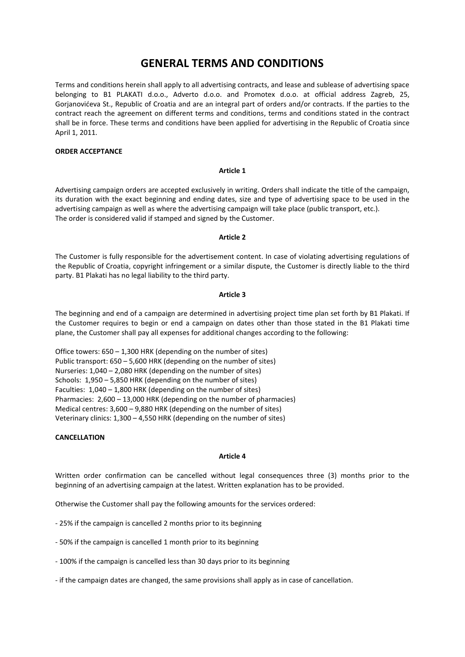# **GENERAL TERMS AND CONDITIONS**

Terms and conditions herein shall apply to all advertising contracts, and lease and sublease of advertising space belonging to B1 PLAKATI d.o.o., Adverto d.o.o. and Promotex d.o.o. at official address Zagreb, 25, Gorjanovićeva St., Republic of Croatia and are an integral part of orders and/or contracts. If the parties to the contract reach the agreement on different terms and conditions, terms and conditions stated in the contract shall be in force. These terms and conditions have been applied for advertising in the Republic of Croatia since April 1, 2011.

# **ORDER ACCEPTANCE**

## **Article 1**

Advertising campaign orders are accepted exclusively in writing. Orders shall indicate the title of the campaign, its duration with the exact beginning and ending dates, size and type of advertising space to be used in the advertising campaign as well as where the advertising campaign will take place (public transport, etc.). The order is considered valid if stamped and signed by the Customer.

# **Article 2**

The Customer is fully responsible for the advertisement content. In case of violating advertising regulations of the Republic of Croatia, copyright infringement or a similar dispute, the Customer is directly liable to the third party. B1 Plakati has no legal liability to the third party.

# **Article 3**

The beginning and end of a campaign are determined in advertising project time plan set forth by B1 Plakati. If the Customer requires to begin or end a campaign on dates other than those stated in the B1 Plakati time plane, the Customer shall pay all expenses for additional changes according to the following:

Office towers: 650 – 1,300 HRK (depending on the number of sites) Public transport: 650 – 5,600 HRK (depending on the number of sites) Nurseries: 1,040 – 2,080 HRK (depending on the number of sites) Schools: 1,950 – 5,850 HRK (depending on the number of sites) Faculties: 1,040 – 1,800 HRK (depending on the number of sites) Pharmacies: 2,600 – 13,000 HRK (depending on the number of pharmacies) Medical centres: 3,600 – 9,880 HRK (depending on the number of sites) Veterinary clinics: 1,300 – 4,550 HRK (depending on the number of sites)

## **CANCELLATION**

## **Article 4**

Written order confirmation can be cancelled without legal consequences three (3) months prior to the beginning of an advertising campaign at the latest. Written explanation has to be provided.

Otherwise the Customer shall pay the following amounts for the services ordered:

- 25% if the campaign is cancelled 2 months prior to its beginning
- 50% if the campaign is cancelled 1 month prior to its beginning
- 100% if the campaign is cancelled less than 30 days prior to its beginning
- if the campaign dates are changed, the same provisions shall apply as in case of cancellation.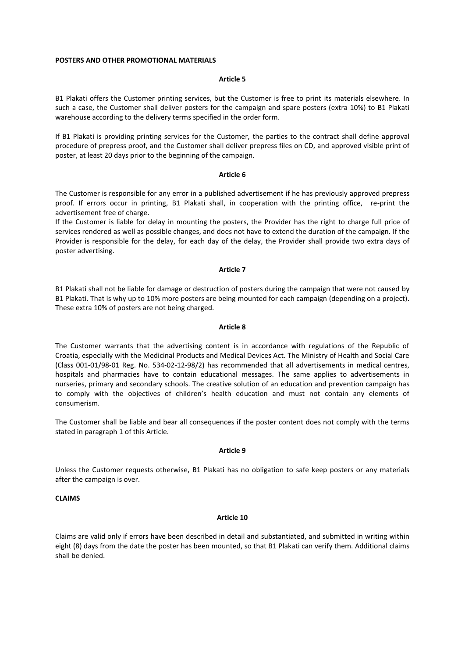#### **POSTERS AND OTHER PROMOTIONAL MATERIALS**

#### **Article 5**

B1 Plakati offers the Customer printing services, but the Customer is free to print its materials elsewhere. In such a case, the Customer shall deliver posters for the campaign and spare posters (extra 10%) to B1 Plakati warehouse according to the delivery terms specified in the order form.

If B1 Plakati is providing printing services for the Customer, the parties to the contract shall define approval procedure of prepress proof, and the Customer shall deliver prepress files on CD, and approved visible print of poster, at least 20 days prior to the beginning of the campaign.

#### **Article 6**

The Customer is responsible for any error in a published advertisement if he has previously approved prepress proof. If errors occur in printing, B1 Plakati shall, in cooperation with the printing office, re-print the advertisement free of charge.

If the Customer is liable for delay in mounting the posters, the Provider has the right to charge full price of services rendered as well as possible changes, and does not have to extend the duration of the campaign. If the Provider is responsible for the delay, for each day of the delay, the Provider shall provide two extra days of poster advertising.

## **Article 7**

B1 Plakati shall not be liable for damage or destruction of posters during the campaign that were not caused by B1 Plakati. That is why up to 10% more posters are being mounted for each campaign (depending on a project). These extra 10% of posters are not being charged.

#### **Article 8**

The Customer warrants that the advertising content is in accordance with regulations of the Republic of Croatia, especially with the Medicinal Products and Medical Devices Act. The Ministry of Health and Social Care (Class 001-01/98-01 Reg. No. 534-02-12-98/2) has recommended that all advertisements in medical centres, hospitals and pharmacies have to contain educational messages. The same applies to advertisements in nurseries, primary and secondary schools. The creative solution of an education and prevention campaign has to comply with the objectives of children's health education and must not contain any elements of consumerism.

The Customer shall be liable and bear all consequences if the poster content does not comply with the terms stated in paragraph 1 of this Article.

## **Article 9**

Unless the Customer requests otherwise, B1 Plakati has no obligation to safe keep posters or any materials after the campaign is over.

# **CLAIMS**

# **Article 10**

Claims are valid only if errors have been described in detail and substantiated, and submitted in writing within eight (8) days from the date the poster has been mounted, so that B1 Plakati can verify them. Additional claims shall be denied.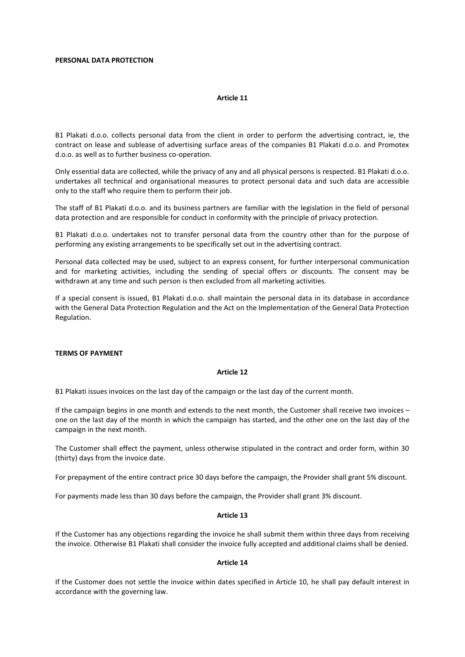## **PERSONAL DATA PROTECTION**

## **Article 11**

B1 Plakati d.o.o. collects personal data from the client in order to perform the advertising contract, ie, the contract on lease and sublease of advertising surface areas of the companies B1 Plakati d.o.o. and Promotex d.o.o. as well as to further business co-operation.

Only essential data are collected, while the privacy of any and all physical persons is respected. B1 Plakati d.o.o. undertakes all technical and organisational measures to protect personal data and such data are accessible only to the staff who require them to perform their job.

The staff of B1 Plakati d.o.o. and its business partners are familiar with the legislation in the field of personal data protection and are responsible for conduct in conformity with the principle of privacy protection.

B1 Plakati d.o.o. undertakes not to transfer personal data from the country other than for the purpose of performing any existing arrangements to be specifically set out in the advertising contract.

Personal data collected may be used, subject to an express consent, for further interpersonal communication and for marketing activities, including the sending of special offers or discounts. The consent may be withdrawn at any time and such person is then excluded from all marketing activities.

If a special consent is issued, B1 Plakati d.o.o. shall maintain the personal data in its database in accordance with the General Data Protection Regulation and the Act on the Implementation of the General Data Protection Regulation.

# **TERMS OF PAYMENT**

## **Article 12**

B1 Plakati issues invoices on the last day of the campaign or the last day of the current month.

If the campaign begins in one month and extends to the next month, the Customer shall receive two invoices – one on the last day of the month in which the campaign has started, and the other one on the last day of the campaign in the next month.

The Customer shall effect the payment, unless otherwise stipulated in the contract and order form, within 30 (thirty) days from the invoice date.

For prepayment of the entire contract price 30 days before the campaign, the Provider shall grant 5% discount.

For payments made less than 30 days before the campaign, the Provider shall grant 3% discount.

#### **Article 13**

If the Customer has any objections regarding the invoice he shall submit them within three days from receiving the invoice. Otherwise B1 Plakati shall consider the invoice fully accepted and additional claims shall be denied.

#### **Article 14**

If the Customer does not settle the invoice within dates specified in Article 10, he shall pay default interest in accordance with the governing law.